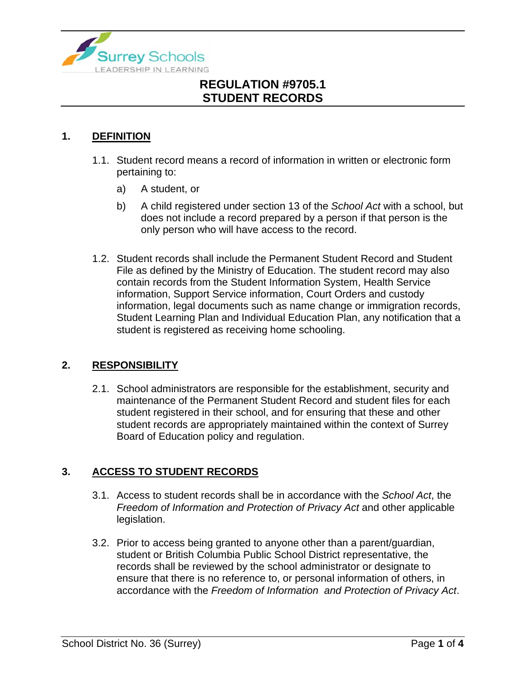

#### **1. DEFINITION**

- 1.1. Student record means a record of information in written or electronic form pertaining to:
	- a) A student, or
	- b) A child registered under section 13 of the *School Act* with a school, but does not include a record prepared by a person if that person is the only person who will have access to the record.
- 1.2. Student records shall include the Permanent Student Record and Student File as defined by the Ministry of Education. The student record may also contain records from the Student Information System, Health Service information, Support Service information, Court Orders and custody information, legal documents such as name change or immigration records, Student Learning Plan and Individual Education Plan, any notification that a student is registered as receiving home schooling.

### **2. RESPONSIBILITY**

2.1. School administrators are responsible for the establishment, security and maintenance of the Permanent Student Record and student files for each student registered in their school, and for ensuring that these and other student records are appropriately maintained within the context of Surrey Board of Education policy and regulation.

### **3. ACCESS TO STUDENT RECORDS**

- 3.1. Access to student records shall be in accordance with the *School Act*, the *Freedom of Information and Protection of Privacy Act* and other applicable legislation.
- 3.2. Prior to access being granted to anyone other than a parent/guardian, student or British Columbia Public School District representative, the records shall be reviewed by the school administrator or designate to ensure that there is no reference to, or personal information of others, in accordance with the *Freedom of Information and Protection of Privacy Act*.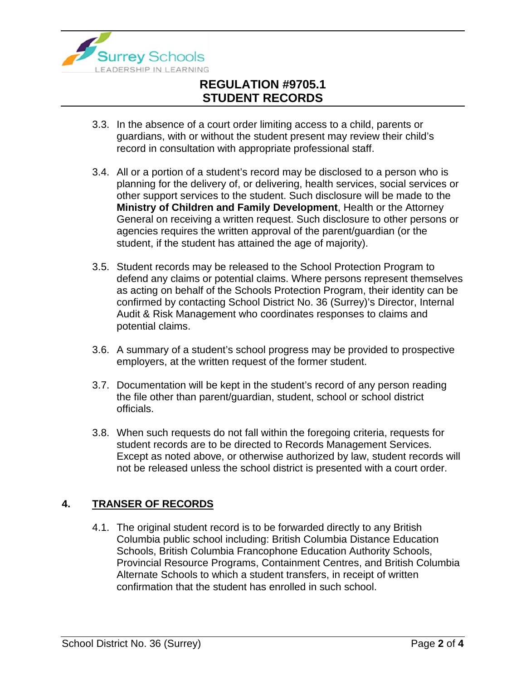

- 3.3. In the absence of a court order limiting access to a child, parents or guardians, with or without the student present may review their child's record in consultation with appropriate professional staff.
- 3.4. All or a portion of a student's record may be disclosed to a person who is planning for the delivery of, or delivering, health services, social services or other support services to the student. Such disclosure will be made to the **Ministry of Children and Family Development**, Health or the Attorney General on receiving a written request. Such disclosure to other persons or agencies requires the written approval of the parent/guardian (or the student, if the student has attained the age of majority).
- 3.5. Student records may be released to the School Protection Program to defend any claims or potential claims. Where persons represent themselves as acting on behalf of the Schools Protection Program, their identity can be confirmed by contacting School District No. 36 (Surrey)'s Director, Internal Audit & Risk Management who coordinates responses to claims and potential claims.
- 3.6. A summary of a student's school progress may be provided to prospective employers, at the written request of the former student.
- 3.7. Documentation will be kept in the student's record of any person reading the file other than parent/guardian, student, school or school district officials.
- 3.8. When such requests do not fall within the foregoing criteria, requests for student records are to be directed to Records Management Services. Except as noted above, or otherwise authorized by law, student records will not be released unless the school district is presented with a court order.

### **4. TRANSER OF RECORDS**

4.1. The original student record is to be forwarded directly to any British Columbia public school including: British Columbia Distance Education Schools, British Columbia Francophone Education Authority Schools, Provincial Resource Programs, Containment Centres, and British Columbia Alternate Schools to which a student transfers, in receipt of written confirmation that the student has enrolled in such school.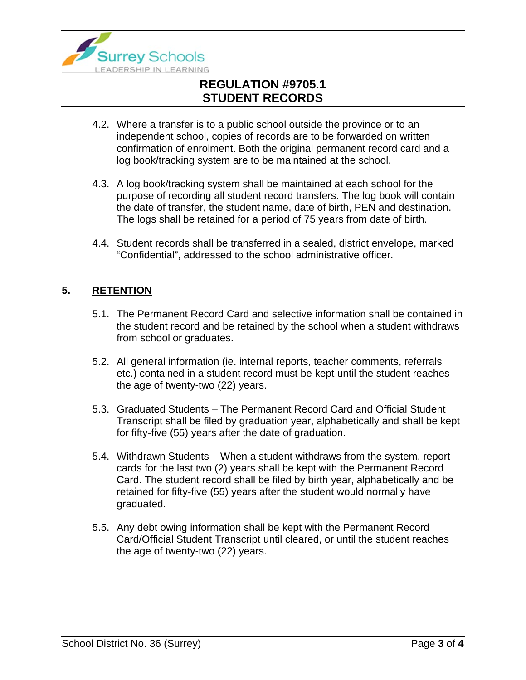

- 4.2. Where a transfer is to a public school outside the province or to an independent school, copies of records are to be forwarded on written confirmation of enrolment. Both the original permanent record card and a log book/tracking system are to be maintained at the school.
- 4.3. A log book/tracking system shall be maintained at each school for the purpose of recording all student record transfers. The log book will contain the date of transfer, the student name, date of birth, PEN and destination. The logs shall be retained for a period of 75 years from date of birth.
- 4.4. Student records shall be transferred in a sealed, district envelope, marked "Confidential", addressed to the school administrative officer.

#### **5. RETENTION**

- 5.1. The Permanent Record Card and selective information shall be contained in the student record and be retained by the school when a student withdraws from school or graduates.
- 5.2. All general information (ie. internal reports, teacher comments, referrals etc.) contained in a student record must be kept until the student reaches the age of twenty-two (22) years.
- 5.3. Graduated Students The Permanent Record Card and Official Student Transcript shall be filed by graduation year, alphabetically and shall be kept for fifty-five (55) years after the date of graduation.
- 5.4. Withdrawn Students When a student withdraws from the system, report cards for the last two (2) years shall be kept with the Permanent Record Card. The student record shall be filed by birth year, alphabetically and be retained for fifty-five (55) years after the student would normally have graduated.
- 5.5. Any debt owing information shall be kept with the Permanent Record Card/Official Student Transcript until cleared, or until the student reaches the age of twenty-two (22) years.